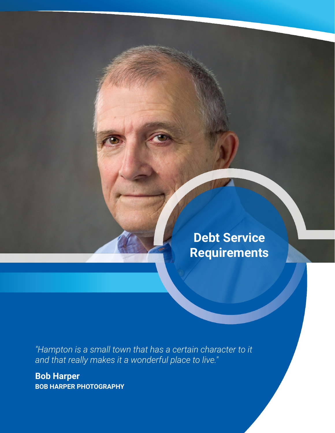**Debt Service Requirements**

*"Hampton is a small town that has a certain character to it and that really makes it a wonderful place to live."* 

**Bob Harper BOB HARPER PHOTOGRAPHY**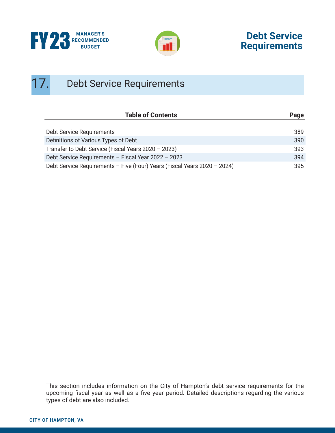



### **Debt Service Requirements**

# 17. Debt Service Requirements

| <b>Table of Contents</b>                                                 | Page |  |
|--------------------------------------------------------------------------|------|--|
|                                                                          |      |  |
| Debt Service Requirements                                                | 389  |  |
| Definitions of Various Types of Debt                                     | 390  |  |
| Transfer to Debt Service (Fiscal Years 2020 - 2023)                      | 393  |  |
| Debt Service Requirements - Fiscal Year 2022 - 2023                      | 394  |  |
| Debt Service Requirements - Five (Four) Years (Fiscal Years 2020 - 2024) | 395  |  |

This section includes information on the City of Hampton's debt service requirements for the upcoming fiscal year as well as a five year period. Detailed descriptions regarding the various types of debt are also included.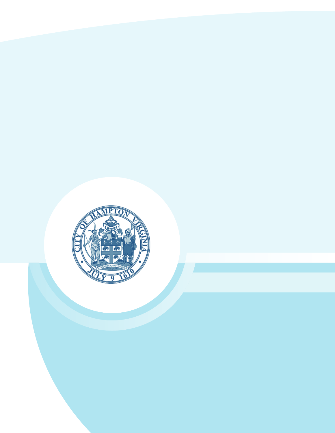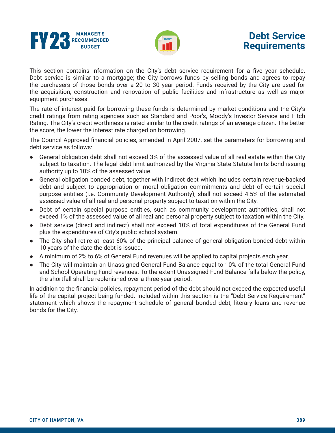



This section contains information on the City's debt service requirement for a five year schedule. Debt service is similar to a mortgage; the City borrows funds by selling bonds and agrees to repay the purchasers of those bonds over a 20 to 30 year period. Funds received by the City are used for the acquisition, construction and renovation of public facilities and infrastructure as well as major equipment purchases.

The rate of interest paid for borrowing these funds is determined by market conditions and the City's credit ratings from rating agencies such as Standard and Poor's, Moody's Investor Service and Fitch Rating. The City's credit worthiness is rated similar to the credit ratings of an average citizen. The better the score, the lower the interest rate charged on borrowing.

The Council Approved financial policies, amended in April 2007, set the parameters for borrowing and debt service as follows:

- General obligation debt shall not exceed 3% of the assessed value of all real estate within the City subject to taxation. The legal debt limit authorized by the Virginia State Statute limits bond issuing authority up to 10% of the assessed value.
- General obligation bonded debt, together with indirect debt which includes certain revenue-backed debt and subject to appropriation or moral obligation commitments and debt of certain special purpose entities (i.e. Community Development Authority), shall not exceed 4.5% of the estimated assessed value of all real and personal property subject to taxation within the City.
- Debt of certain special purpose entities, such as community development authorities, shall not exceed 1% of the assessed value of all real and personal property subject to taxation within the City.
- Debt service (direct and indirect) shall not exceed 10% of total expenditures of the General Fund plus the expenditures of City's public school system.
- The City shall retire at least 60% of the principal balance of general obligation bonded debt within 10 years of the date the debt is issued.
- A minimum of 2% to 6% of General Fund revenues will be applied to capital projects each year.
- The City will maintain an Unassigned General Fund Balance equal to 10% of the total General Fund and School Operating Fund revenues. To the extent Unassigned Fund Balance falls below the policy, the shortfall shall be replenished over a three-year period.

In addition to the financial policies, repayment period of the debt should not exceed the expected useful life of the capital project being funded. Included within this section is the "Debt Service Requirement" statement which shows the repayment schedule of general bonded debt, literary loans and revenue bonds for the City.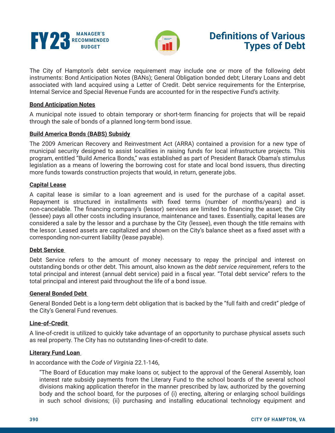



## **Definitions of Various Types of Debt**

The City of Hampton's debt service requirement may include one or more of the following debt instruments: Bond Anticipation Notes (BANs); General Obligation bonded debt; Literary Loans and debt associated with land acquired using a Letter of Credit. Debt service requirements for the Enterprise, Internal Service and Special Revenue Funds are accounted for in the respective Fund's activity.

#### **Bond Anticipation Notes**

A municipal note issued to obtain temporary or short-term financing for projects that will be repaid through the sale of bonds of a planned long-term bond issue.

#### **Build America Bonds (BABS) Subsidy**

The 2009 American Recovery and Reinvestment Act (ARRA) contained a provision for a new type of municipal security designed to assist localities in raising funds for local infrastructure projects. This program, entitled "Build America Bonds," was established as part of President Barack Obama's stimulus legislation as a means of lowering the borrowing cost for state and local bond issuers, thus directing more funds towards construction projects that would, in return, generate jobs.

#### **Capital Lease**

A capital lease is similar to a [loan agreement](http://www.businessdictionary.com/definition/loan-agreement.html) and is used for the [purchase](http://www.businessdictionary.com/definition/purchase.html) of a [capital asset](http://www.businessdictionary.com/definition/capital-asset.html). Repayment is structured in installments with fixed terms (number of months/years) and is non-cancelable. The financing company's ([lessor](http://www.businessdictionary.com/definition/lessor.html)) services are limited to [financing](http://www.businessdictionary.com/definition/financing.html) the asset; the City (lessee) pays all other costs including insurance, maintenance and taxes. Essentially, capital leases are considered a sale by the lessor and a purchase by the City (lessee), even though the title remains with the lessor. Leased assets are capitalized and shown on the City's [balance sheet](http://www.businessdictionary.com/definition/balance-sheet.html) as a fixed asset with a corresponding [non-current liability](http://www.businessdictionary.com/definition/non-current-liability.html) (lease [payable](http://www.businessdictionary.com/definition/payable.html)).

#### **Debt Service**

Debt Service refers to the amount of money necessary to repay the principal and interest on outstanding bonds or other debt. This amount, also known as the *debt service requirement*, refers to the total principal and interest (annual debt service) paid in a fiscal year. "Total debt service" refers to the total principal and interest paid throughout the life of a bond issue.

#### **General Bonded Debt**

General Bonded Debt is a long-term debt obligation that is backed by the "full faith and credit" pledge of the City's General Fund revenues.

#### **Line-of-Credit**

A line-of-credit is utilized to quickly take advantage of an opportunity to purchase physical assets such as real property. The City has no outstanding lines-of-credit to date.

#### **Literary Fund Loan**

In accordance with the *Code of Virginia* 22.1-146,

"The Board of Education may make loans or, subject to the approval of the General Assembly, loan interest rate subsidy payments from the Literary Fund to the school boards of the several school divisions making application therefor in the manner prescribed by law, authorized by the governing body and the school board, for the purposes of (i) erecting, altering or enlarging school buildings in such school divisions; (ii) purchasing and installing educational technology equipment and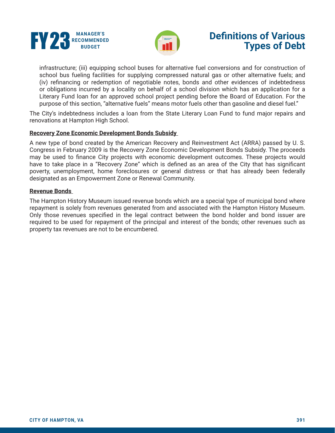



## **Definitions of Various Types of Debt**

infrastructure; (iii) equipping school buses for alternative fuel conversions and for construction of school bus fueling facilities for supplying compressed natural gas or other alternative fuels; and (iv) refinancing or redemption of negotiable notes, bonds and other evidences of indebtedness or obligations incurred by a locality on behalf of a school division which has an application for a Literary Fund loan for an approved school project pending before the Board of Education. For the purpose of this section, "alternative fuels" means motor fuels other than gasoline and diesel fuel."

The City's indebtedness includes a loan from the State Literary Loan Fund to fund major repairs and renovations at Hampton High School.

#### **Recovery Zone Economic Development Bonds Subsidy**

A new type of bond created by the American Recovery and Reinvestment Act (ARRA) passed by U. S. Congress in February 2009 is the Recovery Zone Economic Development Bonds Subsidy. The proceeds may be used to finance City projects with economic development outcomes. These projects would have to take place in a "Recovery Zone" which is defined as an area of the City that has significant poverty, unemployment, home foreclosures or general distress or that has already been federally designated as an Empowerment Zone or Renewal Community.

#### **Revenue Bonds**

The Hampton History Museum issued revenue bonds which are a special type of municipal bond where repayment is solely from revenues generated from and associated with the Hampton History Museum. Only those revenues specified in the legal contract between the bond holder and bond issuer are required to be used for repayment of the principal and interest of the bonds; other revenues such as property tax revenues are not to be encumbered.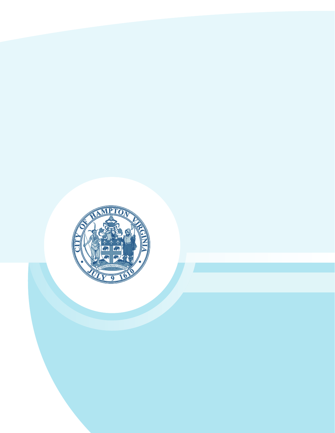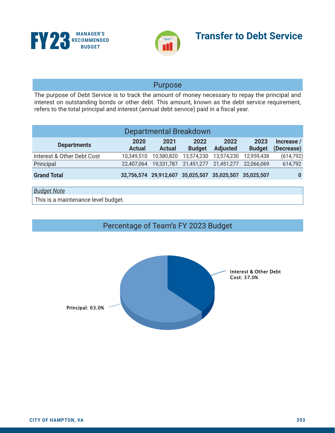



### Purpose

The purpose of Debt Service is to track the amount of money necessary to repay the principal and interest on outstanding bonds or other debt. This amount, known as the debt service requirement, refers to the total principal and interest (annual debt service) paid in a fiscal year.

| Departmental Breakdown     |                       |                       |                                                        |                         |                       |                          |
|----------------------------|-----------------------|-----------------------|--------------------------------------------------------|-------------------------|-----------------------|--------------------------|
| <b>Departments</b>         | 2020<br><b>Actual</b> | 2021<br><b>Actual</b> | 2022<br><b>Budget</b>                                  | 2022<br><b>Adjusted</b> | 2023<br><b>Budget</b> | Increase /<br>(Decrease) |
| Interest & Other Debt Cost | 10.349.510            | 10,580,820            | 13,574,230                                             | 13,574,230              | 12,959,438            | (614, 792)               |
| Principal                  | 22,407,064            | 19,331,787            | 21,451,277                                             | 21,451,277              | 22,066,069            | 614,792                  |
| <b>Grand Total</b>         |                       |                       | 32,756,574 29,912,607 35,025,507 35,025,507 35,025,507 |                         |                       |                          |

#### *Budget Note*

This is a maintenance level budget.

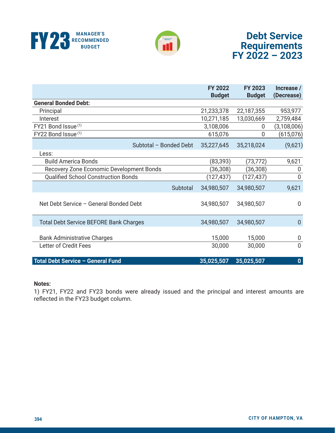





|                                                             | <b>FY 2022</b><br><b>Budget</b> | <b>FY 2023</b><br><b>Budget</b> | Increase /<br>(Decrease) |
|-------------------------------------------------------------|---------------------------------|---------------------------------|--------------------------|
| <b>General Bonded Debt:</b>                                 |                                 |                                 |                          |
| Principal                                                   | 21,233,378                      | 22,187,355                      | 953,977                  |
| Interest                                                    | 10,271,185                      | 13,030,669                      | 2,759,484                |
| FY21 Bond Issue <sup>(1)</sup>                              | 3,108,006                       | 0                               | (3,108,006)              |
| FY22 Bond Issue <sup>(1)</sup>                              | 615,076                         | 0                               | (615,076)                |
| Subtotal - Bonded Debt                                      | 35,227,645                      | 35,218,024                      | (9,621)                  |
| Less:                                                       |                                 |                                 |                          |
| <b>Build America Bonds</b>                                  | (83, 393)                       | (73,772)                        | 9,621                    |
| Recovery Zone Economic Development Bonds                    | (36,308)                        | (36,308)                        | 0                        |
| <b>Qualified School Construction Bonds</b>                  | (127,437)                       | (127,437)                       | 0                        |
| Subtotal                                                    | 34,980,507                      | 34,980,507                      | 9,621                    |
| Net Debt Service - General Bonded Debt                      | 34,980,507                      | 34,980,507                      | $\Omega$                 |
| <b>Total Debt Service BEFORE Bank Charges</b>               | 34,980,507                      | 34,980,507                      | $\overline{0}$           |
| <b>Bank Administrative Charges</b><br>Letter of Credit Fees | 15,000<br>30,000                | 15,000<br>30,000                | 0<br>$\overline{0}$      |
| Total Debt Service - General Fund                           | 35,025,507                      | 35,025,507                      | $\bf{0}$                 |

#### **Notes:**

1) FY21, FY22 and FY23 bonds were already issued and the principal and interest amounts are reflected in the FY23 budget column.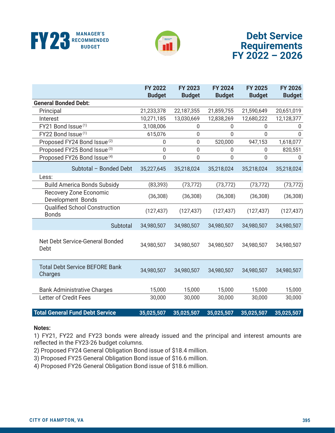





|                                                      | <b>FY 2022</b><br><b>Budget</b> | <b>FY 2023</b><br><b>Budget</b> | <b>FY 2024</b><br><b>Budget</b> | <b>FY 2025</b><br><b>Budget</b> | <b>FY 2026</b><br><b>Budget</b> |
|------------------------------------------------------|---------------------------------|---------------------------------|---------------------------------|---------------------------------|---------------------------------|
| <b>General Bonded Debt:</b>                          |                                 |                                 |                                 |                                 |                                 |
| Principal                                            | 21,233,378                      | 22,187,355                      | 21,859,755                      | 21,590,649                      | 20,651,019                      |
| Interest                                             | 10,271,185                      | 13,030,669                      | 12,838,269                      | 12,680,222                      | 12,128,377                      |
| FY21 Bond Issue <sup>(1)</sup>                       | 3,108,006                       | $\boldsymbol{0}$                | $\overline{0}$                  | 0                               | $\mathbf{0}$                    |
| FY22 Bond Issue <sup>(1)</sup>                       | 615,076                         | $\boldsymbol{0}$                | $\overline{0}$                  | $\mathbf 0$                     | $\boldsymbol{0}$                |
| Proposed FY24 Bond Issue <sup>(2)</sup>              | 0                               | $\boldsymbol{0}$                | 520,000                         | 947,153                         | 1,618,077                       |
| Proposed FY25 Bond Issue <sup>(3)</sup>              | 0                               | 0                               | 0                               | 0                               | 820,551                         |
| Proposed FY26 Bond Issue <sup>(4)</sup>              | 0                               | 0                               | $\overline{0}$                  | 0                               | $\mathbf 0$                     |
| Subtotal - Bonded Debt                               | 35,227,645                      | 35,218,024                      | 35,218,024                      | 35,218,024                      | 35,218,024                      |
| Less:                                                |                                 |                                 |                                 |                                 |                                 |
| <b>Build America Bonds Subsidy</b>                   | (83, 393)                       | (73, 772)                       | (73, 772)                       | (73, 772)                       | (73, 772)                       |
| <b>Recovery Zone Economic</b><br>Development Bonds   | (36, 308)                       | (36, 308)                       | (36, 308)                       | (36, 308)                       | (36, 308)                       |
| <b>Qualified School Construction</b><br><b>Bonds</b> | (127, 437)                      | (127, 437)                      | (127, 437)                      | (127, 437)                      | (127, 437)                      |
| Subtotal                                             | 34,980,507                      | 34,980,507                      | 34,980,507                      | 34,980,507                      | 34,980,507                      |
| Net Debt Service-General Bonded<br>Debt              | 34,980,507                      | 34,980,507                      | 34,980,507                      | 34,980,507                      | 34,980,507                      |
| <b>Total Debt Service BEFORE Bank</b><br>Charges     | 34,980,507                      | 34,980,507                      | 34,980,507                      | 34,980,507                      | 34,980,507                      |
| <b>Bank Administrative Charges</b>                   | 15,000                          | 15,000                          | 15,000                          | 15,000                          | 15,000                          |
| Letter of Credit Fees                                | 30,000                          | 30,000                          | 30,000                          | 30,000                          | 30,000                          |
| <b>Total General Fund Debt Service</b>               | 35,025,507                      | 35,025,507                      | 35,025,507                      | 35,025,507                      | 35,025,507                      |

#### **Notes:**

1) FY21, FY22 and FY23 bonds were already issued and the principal and interest amounts are reflected in the FY23-26 budget columns.

2) Proposed FY24 General Obligation Bond issue of \$18.4 million.

3) Proposed FY25 General Obligation Bond issue of \$16.6 million.

4) Proposed FY26 General Obligation Bond issue of \$18.6 million.